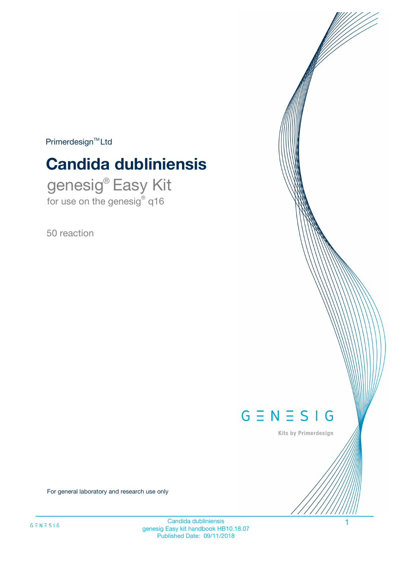$Primerdesign^{\text{TM}}Ltd$ 

# **Candida dubliniensis**

genesig® Easy Kit for use on the genesig® q16

50 reaction



Kits by Primerdesign

For general laboratory and research use only

Candida dubliniensis 1 genesig Easy kit handbook HB10.18.07 Published Date: 09/11/2018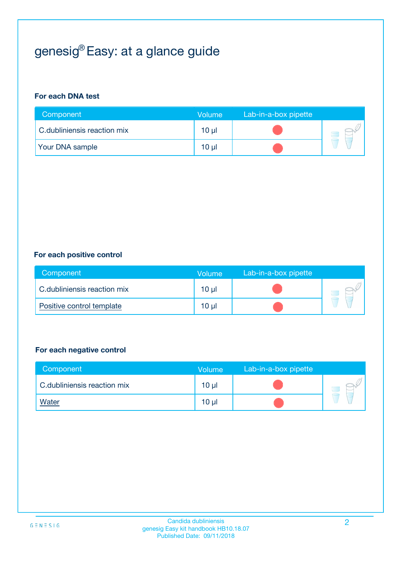## genesig® Easy: at a glance guide

#### **For each DNA test**

| Component                   | <b>Volume</b> | Lab-in-a-box pipette |  |
|-----------------------------|---------------|----------------------|--|
| C.dubliniensis reaction mix | 10 µl         |                      |  |
| <b>Your DNA sample</b>      | 10 µl         |                      |  |

#### **For each positive control**

| Component                   | Volume          | Lab-in-a-box pipette |  |
|-----------------------------|-----------------|----------------------|--|
| C.dubliniensis reaction mix | 10 <sub>µ</sub> |                      |  |
| Positive control template   | 10 <sub>µ</sub> |                      |  |

#### **For each negative control**

| Component                   | <b>Volume</b>   | Lab-in-a-box pipette |  |
|-----------------------------|-----------------|----------------------|--|
| C.dubliniensis reaction mix | 10 <sub>µ</sub> |                      |  |
| <u>Water</u>                | 10 <sub>µ</sub> |                      |  |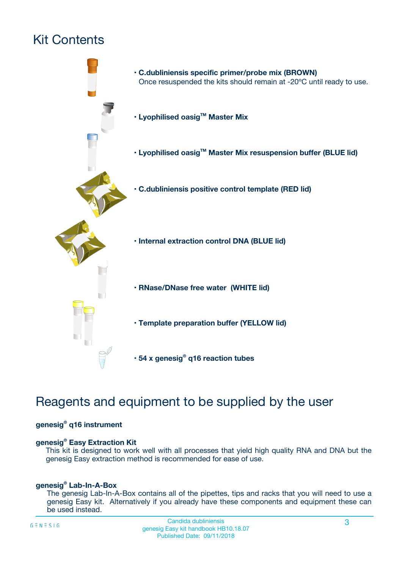## Kit Contents



## Reagents and equipment to be supplied by the user

#### **genesig® q16 instrument**

#### **genesig® Easy Extraction Kit**

This kit is designed to work well with all processes that yield high quality RNA and DNA but the genesig Easy extraction method is recommended for ease of use.

#### **genesig® Lab-In-A-Box**

The genesig Lab-In-A-Box contains all of the pipettes, tips and racks that you will need to use a genesig Easy kit. Alternatively if you already have these components and equipment these can be used instead.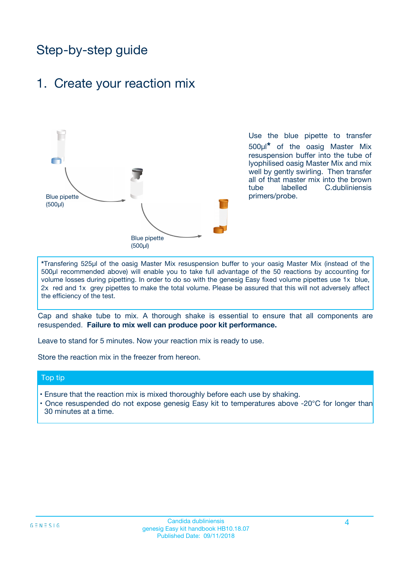## Step-by-step guide

### 1. Create your reaction mix



Use the blue pipette to transfer 500µl**\*** of the oasig Master Mix resuspension buffer into the tube of lyophilised oasig Master Mix and mix well by gently swirling. Then transfer all of that master mix into the brown tube labelled C.dubliniensis primers/probe.

**\***Transfering 525µl of the oasig Master Mix resuspension buffer to your oasig Master Mix (instead of the 500µl recommended above) will enable you to take full advantage of the 50 reactions by accounting for volume losses during pipetting. In order to do so with the genesig Easy fixed volume pipettes use 1x blue, 2x red and 1x grey pipettes to make the total volume. Please be assured that this will not adversely affect the efficiency of the test.

Cap and shake tube to mix. A thorough shake is essential to ensure that all components are resuspended. **Failure to mix well can produce poor kit performance.**

Leave to stand for 5 minutes. Now your reaction mix is ready to use.

Store the reaction mix in the freezer from hereon.

#### Top tip

- Ensure that the reaction mix is mixed thoroughly before each use by shaking.
- **•** Once resuspended do not expose genesig Easy kit to temperatures above -20°C for longer than 30 minutes at a time.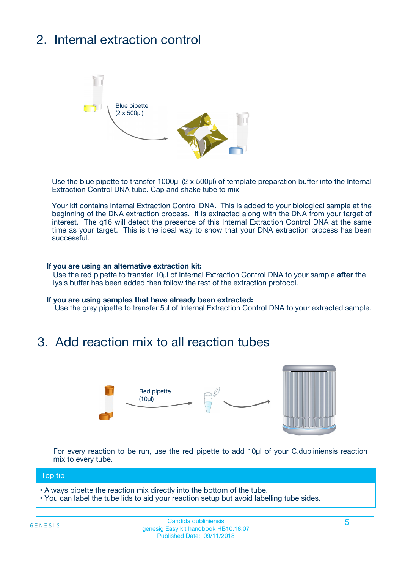## 2. Internal extraction control



Use the blue pipette to transfer 1000µl (2 x 500µl) of template preparation buffer into the Internal Extraction Control DNA tube. Cap and shake tube to mix.

Your kit contains Internal Extraction Control DNA. This is added to your biological sample at the beginning of the DNA extraction process. It is extracted along with the DNA from your target of interest. The q16 will detect the presence of this Internal Extraction Control DNA at the same time as your target. This is the ideal way to show that your DNA extraction process has been **successful.** 

#### **If you are using an alternative extraction kit:**

Use the red pipette to transfer 10µl of Internal Extraction Control DNA to your sample **after** the lysis buffer has been added then follow the rest of the extraction protocol.

#### **If you are using samples that have already been extracted:**

Use the grey pipette to transfer 5µl of Internal Extraction Control DNA to your extracted sample.

### 3. Add reaction mix to all reaction tubes



For every reaction to be run, use the red pipette to add 10µl of your C.dubliniensis reaction mix to every tube.

#### Top tip

- Always pipette the reaction mix directly into the bottom of the tube.
- You can label the tube lids to aid your reaction setup but avoid labelling tube sides.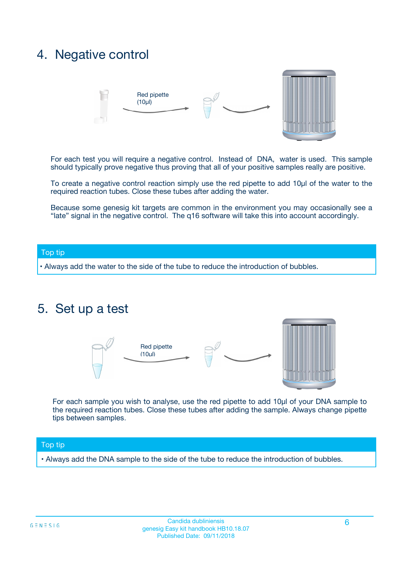### 4. Negative control



For each test you will require a negative control. Instead of DNA, water is used. This sample should typically prove negative thus proving that all of your positive samples really are positive.

To create a negative control reaction simply use the red pipette to add 10µl of the water to the required reaction tubes. Close these tubes after adding the water.

Because some genesig kit targets are common in the environment you may occasionally see a "late" signal in the negative control. The q16 software will take this into account accordingly.

#### Top tip

**•** Always add the water to the side of the tube to reduce the introduction of bubbles.

### 5. Set up a test



For each sample you wish to analyse, use the red pipette to add 10µl of your DNA sample to the required reaction tubes. Close these tubes after adding the sample. Always change pipette tips between samples.

#### Top tip

**•** Always add the DNA sample to the side of the tube to reduce the introduction of bubbles.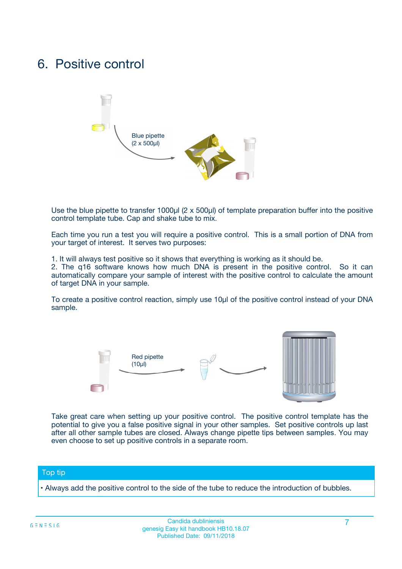### 6. Positive control



Use the blue pipette to transfer 1000µl (2 x 500µl) of template preparation buffer into the positive control template tube. Cap and shake tube to mix.

Each time you run a test you will require a positive control. This is a small portion of DNA from your target of interest. It serves two purposes:

1. It will always test positive so it shows that everything is working as it should be.

2. The q16 software knows how much DNA is present in the positive control. So it can automatically compare your sample of interest with the positive control to calculate the amount of target DNA in your sample.

To create a positive control reaction, simply use 10µl of the positive control instead of your DNA sample.



Take great care when setting up your positive control. The positive control template has the potential to give you a false positive signal in your other samples. Set positive controls up last after all other sample tubes are closed. Always change pipette tips between samples. You may even choose to set up positive controls in a separate room.

#### Top tip

**•** Always add the positive control to the side of the tube to reduce the introduction of bubbles.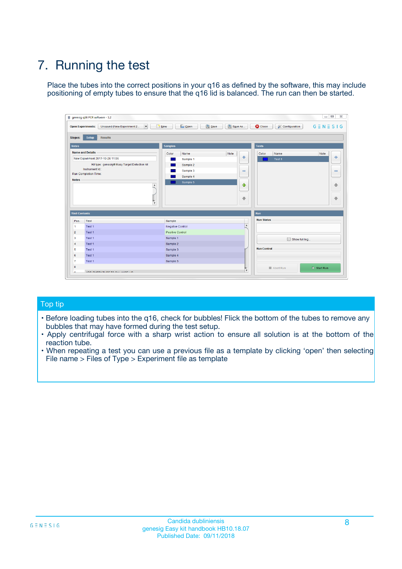## 7. Running the test

Place the tubes into the correct positions in your q16 as defined by the software, this may include positioning of empty tubes to ensure that the q16 lid is balanced. The run can then be started.

| genesig q16 PCR software - 1.2                                               |                                     | $\Box$                                                                                  |
|------------------------------------------------------------------------------|-------------------------------------|-----------------------------------------------------------------------------------------|
| Unsaved (New Experiment 2<br>$\vert \cdot \vert$<br><b>Open Experiments:</b> | <b>D</b> Open<br>Save<br>$\Box$ New | Save As<br><b>C</b> Close<br>$G \equiv N \equiv S \mid G$<br><b>&amp; Configuration</b> |
| Setup<br><b>Results</b><br><b>Stages:</b>                                    |                                     |                                                                                         |
| <b>Notes</b>                                                                 | Samples                             | <b>Tests</b>                                                                            |
| <b>Name and Details</b>                                                      | Color<br>Name                       | Note<br>Color<br>Note<br>Name                                                           |
| New Experiment 2017-10-26 11:06                                              | Sample 1                            | 条<br>علي<br>Test 1                                                                      |
| Kit type: genesig® Easy Target Detection kit                                 | Sample 2                            |                                                                                         |
| Instrument Id.:                                                              | Sample 3                            | $\qquad \qquad \blacksquare$<br>$\qquad \qquad \blacksquare$                            |
| Run Completion Time:                                                         | Sample 4                            |                                                                                         |
| <b>Notes</b>                                                                 | Sample 5<br>A<br>v                  | $\triangle$<br>4<br>$\oplus$<br>₩                                                       |
| <b>Well Contents</b>                                                         |                                     | <b>Run</b>                                                                              |
| Pos.<br>Test                                                                 | Sample                              | <b>Run Status</b>                                                                       |
| Test 1<br>-1                                                                 | <b>Negative Control</b>             | $\blacktriangle$                                                                        |
| $\overline{2}$<br>Test 1                                                     | <b>Positive Control</b>             |                                                                                         |
| $\overline{\mathbf{3}}$<br>Test 1                                            | Sample 1                            | Show full log                                                                           |
| Test 1<br>$\overline{4}$                                                     | Sample 2                            |                                                                                         |
| 5<br>Test 1                                                                  | Sample 3                            | <b>Run Control</b>                                                                      |
| 6<br>Test 1                                                                  | Sample 4                            |                                                                                         |
| $\overline{7}$<br>Test 1                                                     | Sample 5                            |                                                                                         |
| 8                                                                            |                                     | $\triangleright$ Start Run<br>Abort Run                                                 |
| <b>JOD FURTY TUDE TO BUILDED IN</b>                                          |                                     | $\overline{\mathbf{v}}$                                                                 |

#### Top tip

- Before loading tubes into the q16, check for bubbles! Flick the bottom of the tubes to remove any bubbles that may have formed during the test setup.
- Apply centrifugal force with a sharp wrist action to ensure all solution is at the bottom of the reaction tube.
- When repeating a test you can use a previous file as a template by clicking 'open' then selecting File name > Files of Type > Experiment file as template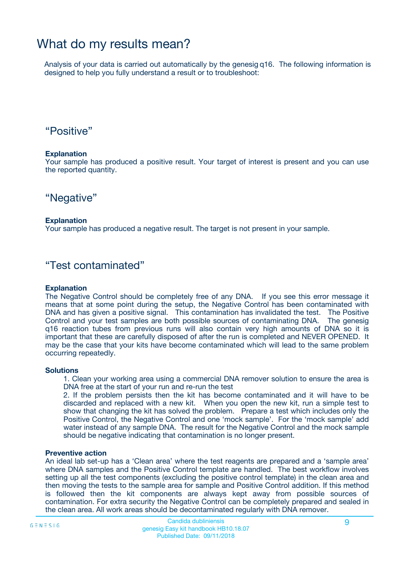### What do my results mean?

Analysis of your data is carried out automatically by the genesig q16. The following information is designed to help you fully understand a result or to troubleshoot:

### "Positive"

#### **Explanation**

Your sample has produced a positive result. Your target of interest is present and you can use the reported quantity.

"Negative"

#### **Explanation**

Your sample has produced a negative result. The target is not present in your sample.

### "Test contaminated"

#### **Explanation**

The Negative Control should be completely free of any DNA. If you see this error message it means that at some point during the setup, the Negative Control has been contaminated with DNA and has given a positive signal. This contamination has invalidated the test. The Positive Control and your test samples are both possible sources of contaminating DNA. The genesig q16 reaction tubes from previous runs will also contain very high amounts of DNA so it is important that these are carefully disposed of after the run is completed and NEVER OPENED. It may be the case that your kits have become contaminated which will lead to the same problem occurring repeatedly.

#### **Solutions**

1. Clean your working area using a commercial DNA remover solution to ensure the area is DNA free at the start of your run and re-run the test

2. If the problem persists then the kit has become contaminated and it will have to be discarded and replaced with a new kit. When you open the new kit, run a simple test to show that changing the kit has solved the problem. Prepare a test which includes only the Positive Control, the Negative Control and one 'mock sample'. For the 'mock sample' add water instead of any sample DNA. The result for the Negative Control and the mock sample should be negative indicating that contamination is no longer present.

#### **Preventive action**

An ideal lab set-up has a 'Clean area' where the test reagents are prepared and a 'sample area' where DNA samples and the Positive Control template are handled. The best workflow involves setting up all the test components (excluding the positive control template) in the clean area and then moving the tests to the sample area for sample and Positive Control addition. If this method is followed then the kit components are always kept away from possible sources of contamination. For extra security the Negative Control can be completely prepared and sealed in the clean area. All work areas should be decontaminated regularly with DNA remover.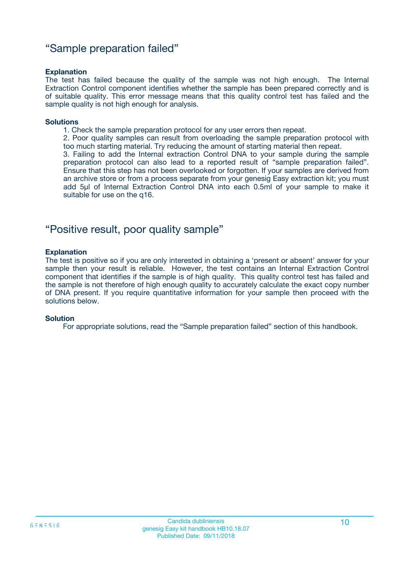### "Sample preparation failed"

#### **Explanation**

The test has failed because the quality of the sample was not high enough. The Internal Extraction Control component identifies whether the sample has been prepared correctly and is of suitable quality. This error message means that this quality control test has failed and the sample quality is not high enough for analysis.

#### **Solutions**

1. Check the sample preparation protocol for any user errors then repeat.

2. Poor quality samples can result from overloading the sample preparation protocol with too much starting material. Try reducing the amount of starting material then repeat.

3. Failing to add the Internal extraction Control DNA to your sample during the sample preparation protocol can also lead to a reported result of "sample preparation failed". Ensure that this step has not been overlooked or forgotten. If your samples are derived from an archive store or from a process separate from your genesig Easy extraction kit; you must add 5µl of Internal Extraction Control DNA into each 0.5ml of your sample to make it suitable for use on the q16.

### "Positive result, poor quality sample"

#### **Explanation**

The test is positive so if you are only interested in obtaining a 'present or absent' answer for your sample then your result is reliable. However, the test contains an Internal Extraction Control component that identifies if the sample is of high quality. This quality control test has failed and the sample is not therefore of high enough quality to accurately calculate the exact copy number of DNA present. If you require quantitative information for your sample then proceed with the solutions below.

#### **Solution**

For appropriate solutions, read the "Sample preparation failed" section of this handbook.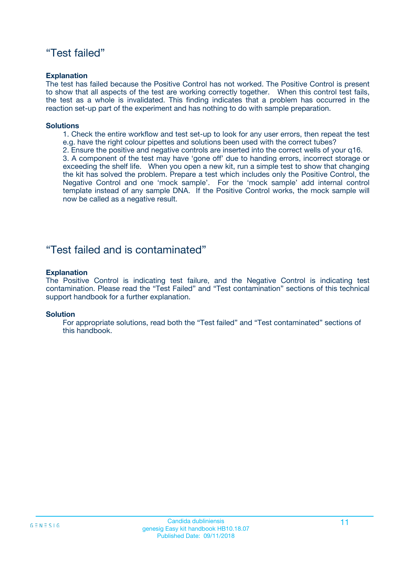### "Test failed"

#### **Explanation**

The test has failed because the Positive Control has not worked. The Positive Control is present to show that all aspects of the test are working correctly together. When this control test fails, the test as a whole is invalidated. This finding indicates that a problem has occurred in the reaction set-up part of the experiment and has nothing to do with sample preparation.

#### **Solutions**

- 1. Check the entire workflow and test set-up to look for any user errors, then repeat the test e.g. have the right colour pipettes and solutions been used with the correct tubes?
- 2. Ensure the positive and negative controls are inserted into the correct wells of your q16.

3. A component of the test may have 'gone off' due to handing errors, incorrect storage or exceeding the shelf life. When you open a new kit, run a simple test to show that changing the kit has solved the problem. Prepare a test which includes only the Positive Control, the Negative Control and one 'mock sample'. For the 'mock sample' add internal control template instead of any sample DNA. If the Positive Control works, the mock sample will now be called as a negative result.

### "Test failed and is contaminated"

#### **Explanation**

The Positive Control is indicating test failure, and the Negative Control is indicating test contamination. Please read the "Test Failed" and "Test contamination" sections of this technical support handbook for a further explanation.

#### **Solution**

For appropriate solutions, read both the "Test failed" and "Test contaminated" sections of this handbook.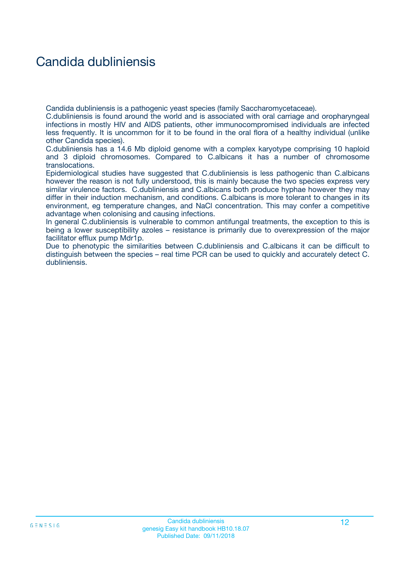## Candida dubliniensis

Candida dubliniensis is a pathogenic yeast species (family Saccharomycetaceae).

C.dubliniensis is found around the world and is associated with oral carriage and oropharyngeal infections in mostly HIV and AIDS patients, other immunocompromised individuals are infected less frequently. It is uncommon for it to be found in the oral flora of a healthy individual (unlike other Candida species).

C.dubliniensis has a 14.6 Mb diploid genome with a complex karyotype comprising 10 haploid and 3 diploid chromosomes. Compared to C.albicans it has a number of chromosome translocations.

Epidemiological studies have suggested that C.dubliniensis is less pathogenic than C.albicans however the reason is not fully understood, this is mainly because the two species express very similar virulence factors. C.dubliniensis and C.albicans both produce hyphae however they may differ in their induction mechanism, and conditions. C.albicans is more tolerant to changes in its environment, eg temperature changes, and NaCl concentration. This may confer a competitive advantage when colonising and causing infections.

In general C.dubliniensis is vulnerable to common antifungal treatments, the exception to this is being a lower susceptibility azoles – resistance is primarily due to overexpression of the major facilitator efflux pump Mdr1p.

Due to phenotypic the similarities between C.dubliniensis and C.albicans it can be difficult to distinguish between the species – real time PCR can be used to quickly and accurately detect C. dubliniensis.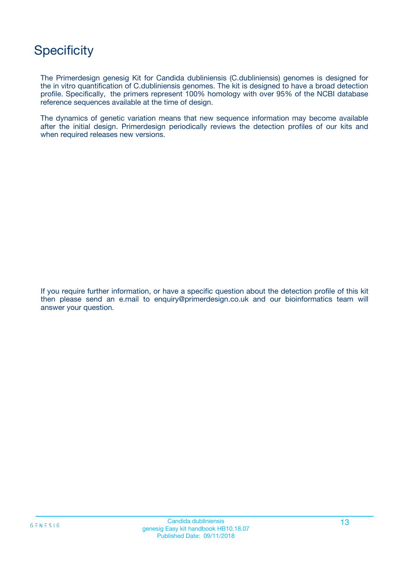## **Specificity**

The Primerdesign genesig Kit for Candida dubliniensis (C.dubliniensis) genomes is designed for the in vitro quantification of C.dubliniensis genomes. The kit is designed to have a broad detection profile. Specifically, the primers represent 100% homology with over 95% of the NCBI database reference sequences available at the time of design.

The dynamics of genetic variation means that new sequence information may become available after the initial design. Primerdesign periodically reviews the detection profiles of our kits and when required releases new versions.

If you require further information, or have a specific question about the detection profile of this kit then please send an e.mail to enquiry@primerdesign.co.uk and our bioinformatics team will answer your question.